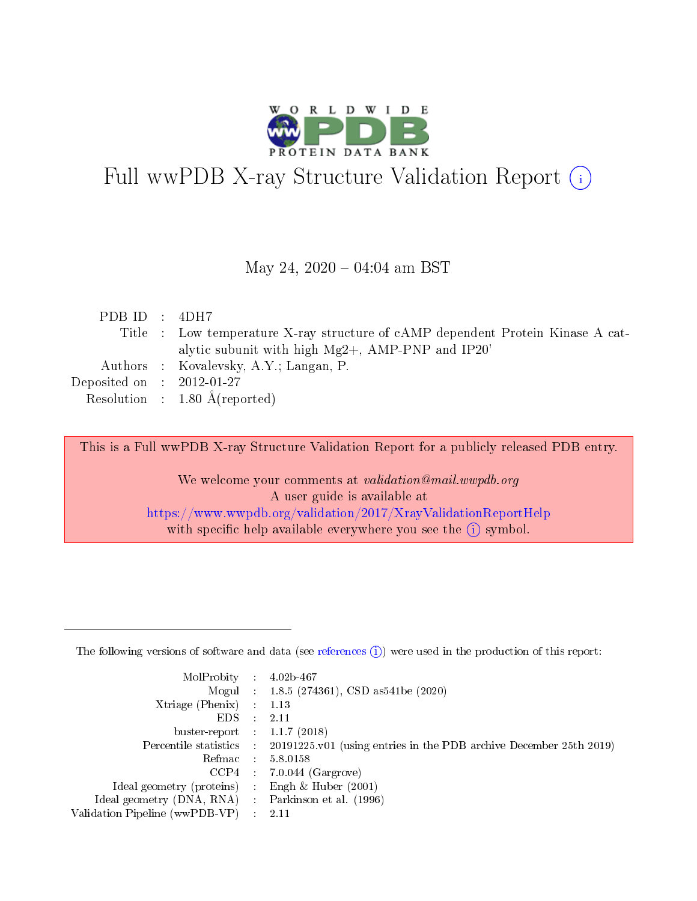

# Full wwPDB X-ray Structure Validation Report (i)

#### May 24,  $2020 - 04:04$  am BST

| PDB ID : $4DH7$             |                                                                                 |
|-----------------------------|---------------------------------------------------------------------------------|
|                             | Title : Low temperature X-ray structure of cAMP dependent Protein Kinase A cat- |
|                             | alytic subunit with high $Mg2+$ , AMP-PNP and IP20'                             |
|                             | Authors : Kovalevsky, A.Y.; Langan, P.                                          |
| Deposited on : $2012-01-27$ |                                                                                 |
|                             | Resolution : $1.80 \text{ Å}$ (reported)                                        |
|                             |                                                                                 |

This is a Full wwPDB X-ray Structure Validation Report for a publicly released PDB entry.

We welcome your comments at validation@mail.wwpdb.org A user guide is available at <https://www.wwpdb.org/validation/2017/XrayValidationReportHelp> with specific help available everywhere you see the  $(i)$  symbol.

The following versions of software and data (see [references](https://www.wwpdb.org/validation/2017/XrayValidationReportHelp#references)  $(1)$ ) were used in the production of this report:

| MolProbity                     | $\mathcal{L}_{\rm{max}}$ | $4.02b - 467$                                                                |
|--------------------------------|--------------------------|------------------------------------------------------------------------------|
|                                |                          | Mogul : $1.8.5$ (274361), CSD as 541be (2020)                                |
| $X$ triage (Phenix) :          |                          | 1.13                                                                         |
| EDS.                           |                          | 2.11                                                                         |
| buster-report : $1.1.7$ (2018) |                          |                                                                              |
| Percentile statistics :        |                          | $20191225 \text{ v}01$ (using entries in the PDB archive December 25th 2019) |
| Refmac                         |                          | 5.8.0158                                                                     |
| $CCP4$ :                       |                          | $7.0.044$ (Gargrove)                                                         |
| Ideal geometry (proteins) :    |                          | Engh $\&$ Huber (2001)                                                       |
| Ideal geometry (DNA, RNA) :    |                          | Parkinson et al. (1996)                                                      |
| Validation Pipeline (wwPDB-VP) | $\mathcal{L}$            | -2.11                                                                        |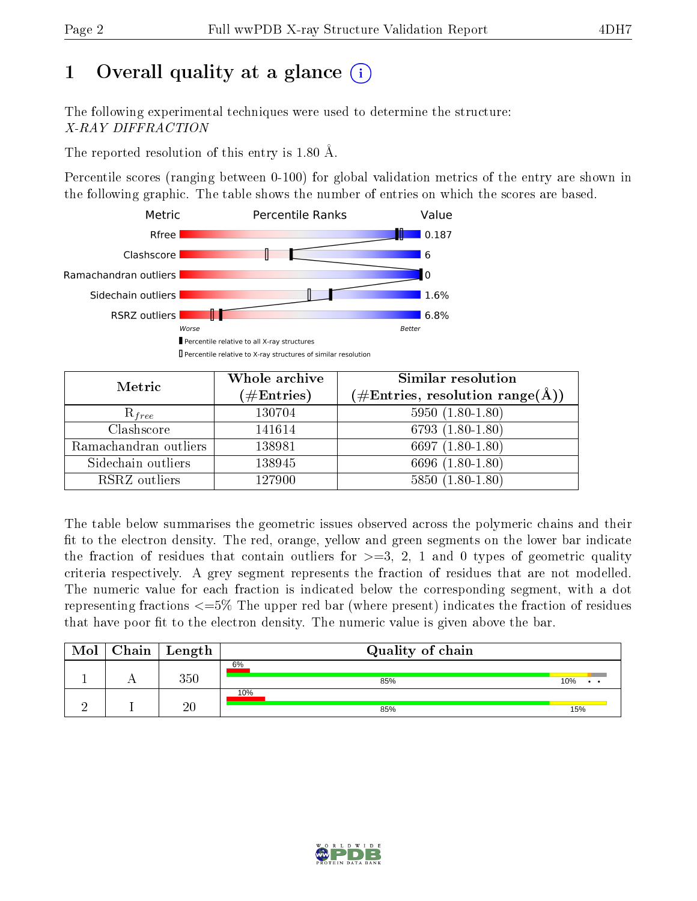# 1 [O](https://www.wwpdb.org/validation/2017/XrayValidationReportHelp#overall_quality)verall quality at a glance  $(i)$

The following experimental techniques were used to determine the structure: X-RAY DIFFRACTION

The reported resolution of this entry is 1.80 Å.

Percentile scores (ranging between 0-100) for global validation metrics of the entry are shown in the following graphic. The table shows the number of entries on which the scores are based.



| Metric                | Whole archive<br>$(\#\mathrm{Entries})$ | Similar resolution<br>$(\#\text{Entries},\,\text{resolution}\,\,\text{range}(\textup{\AA}))$ |
|-----------------------|-----------------------------------------|----------------------------------------------------------------------------------------------|
| $R_{free}$            | 130704                                  | $5950(1.80-1.80)$                                                                            |
| Clashscore            | 141614                                  | $6793(1.80-1.80)$                                                                            |
| Ramachandran outliers | 138981                                  | 6697 $(1.80-1.80)$                                                                           |
| Sidechain outliers    | 138945                                  | 6696 (1.80-1.80)                                                                             |
| RSRZ outliers         | 127900                                  | $5850(1.80-1.80)$                                                                            |

The table below summarises the geometric issues observed across the polymeric chains and their fit to the electron density. The red, orange, yellow and green segments on the lower bar indicate the fraction of residues that contain outliers for  $>=3, 2, 1$  and 0 types of geometric quality criteria respectively. A grey segment represents the fraction of residues that are not modelled. The numeric value for each fraction is indicated below the corresponding segment, with a dot representing fractions <=5% The upper red bar (where present) indicates the fraction of residues that have poor fit to the electron density. The numeric value is given above the bar.

| Mol | $Chain \  Length$ | Quality of chain |     |
|-----|-------------------|------------------|-----|
|     | 350               | 6%<br>85%        | 10% |
|     | 20                | 10%<br>85%       | 15% |

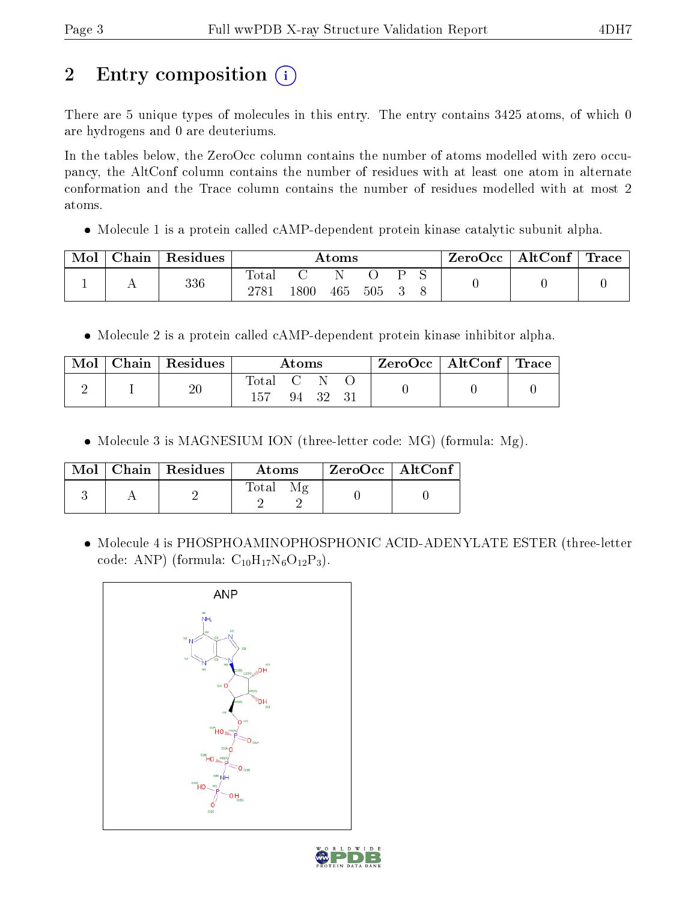# 2 Entry composition  $\left( \cdot \right)$

There are 5 unique types of molecules in this entry. The entry contains 3425 atoms, of which 0 are hydrogens and 0 are deuteriums.

In the tables below, the ZeroOcc column contains the number of atoms modelled with zero occupancy, the AltConf column contains the number of residues with at least one atom in alternate conformation and the Trace column contains the number of residues modelled with at most 2 atoms.

• Molecule 1 is a protein called cAMP-dependent protein kinase catalytic subunit alpha.

| Mol | Chain   Residues | Atoms        |          |     |     | $\text{ZeroOcc}$   AltConf   Trace |  |  |  |
|-----|------------------|--------------|----------|-----|-----|------------------------------------|--|--|--|
|     | 336              | Total<br>278 | $1800\,$ | 465 | 505 |                                    |  |  |  |

• Molecule 2 is a protein called cAMP-dependent protein kinase inhibitor alpha.

| Mol | Chain   Residues | Atoms   |  | $ZeroOcc \   \ AltConf \  $ | $\perp$ Trace |  |  |
|-----|------------------|---------|--|-----------------------------|---------------|--|--|
|     | $20\,$           | Total C |  | 94 32                       |               |  |  |

• Molecule 3 is MAGNESIUM ION (three-letter code: MG) (formula: Mg).

|  | $Mol$   Chain   Residues | <b>Atoms</b> | ZeroOcc   AltConf |  |
|--|--------------------------|--------------|-------------------|--|
|  |                          | Total        |                   |  |

 Molecule 4 is PHOSPHOAMINOPHOSPHONIC ACID-ADENYLATE ESTER (three-letter code: ANP) (formula:  $C_{10}H_{17}N_6O_{12}P_3$ ).



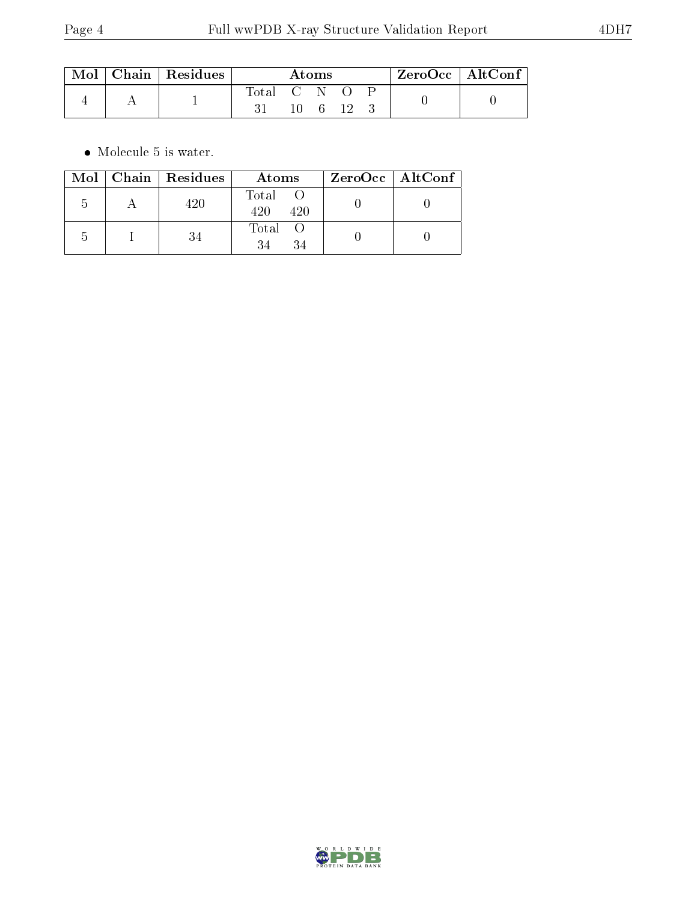| $\text{Mol} \parallel$ | $\vert$ Chain $\vert$ Residues | Atoms       |     |  | ZeroOcc   AltConf |  |  |  |
|------------------------|--------------------------------|-------------|-----|--|-------------------|--|--|--|
|                        |                                | Total C N O | 10. |  |                   |  |  |  |

 $\bullet\,$  Molecule 5 is water.

|   | Mol   Chain   Residues | Atoms               | ZeroOcc   AltConf |
|---|------------------------|---------------------|-------------------|
| h | 420                    | Total<br>420<br>420 |                   |
|   | 34                     | Total O             |                   |

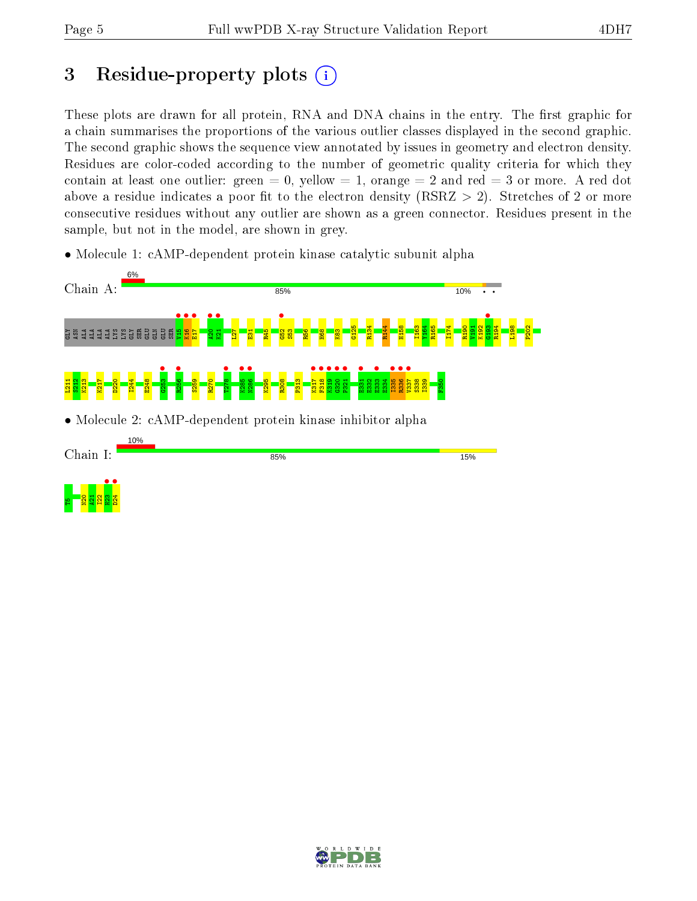# 3 Residue-property plots  $(i)$

These plots are drawn for all protein, RNA and DNA chains in the entry. The first graphic for a chain summarises the proportions of the various outlier classes displayed in the second graphic. The second graphic shows the sequence view annotated by issues in geometry and electron density. Residues are color-coded according to the number of geometric quality criteria for which they contain at least one outlier: green  $= 0$ , yellow  $= 1$ , orange  $= 2$  and red  $= 3$  or more. A red dot above a residue indicates a poor fit to the electron density (RSRZ  $> 2$ ). Stretches of 2 or more consecutive residues without any outlier are shown as a green connector. Residues present in the sample, but not in the model, are shown in grey.

• Molecule 1: cAMP-dependent protein kinase catalytic subunit alpha



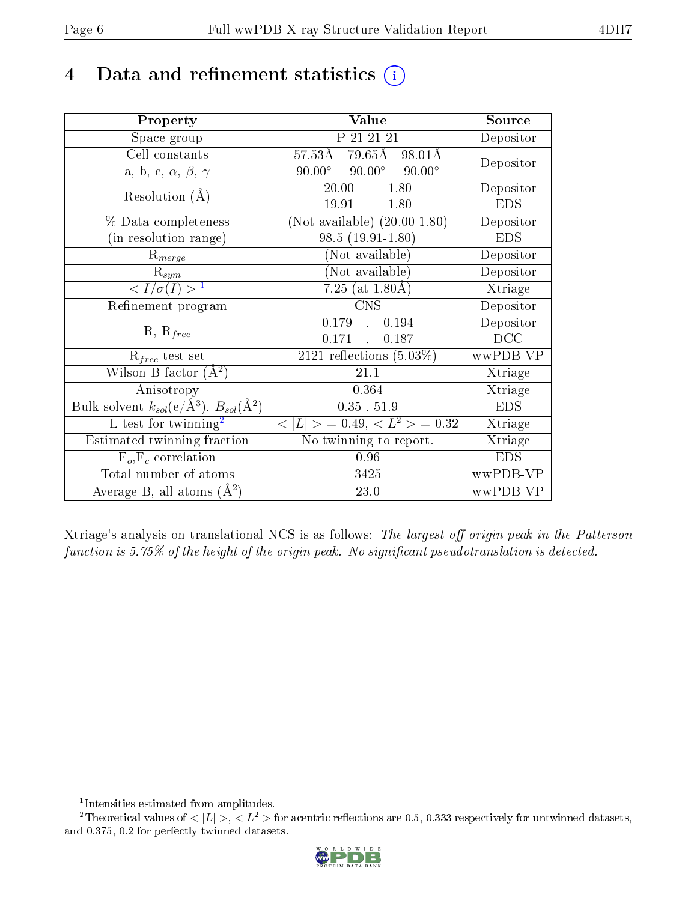# 4 Data and refinement statistics  $(i)$

| Property                                                   | Value                                               | Source     |
|------------------------------------------------------------|-----------------------------------------------------|------------|
| Space group                                                | P 21 21 21                                          | Depositor  |
| Cell constants                                             | $79.65\text{\AA}$ 98.01Å<br>$57.53\text{\AA}$       | Depositor  |
| a, b, c, $\alpha$ , $\beta$ , $\gamma$                     | $90.00^{\circ}$<br>$90.00^{\circ}$<br>$90.00^\circ$ |            |
| Resolution $(A)$                                           | 20.00<br>$-1.80$                                    | Depositor  |
|                                                            | 19.91<br>$-1.80$                                    | <b>EDS</b> |
| $\%$ Data completeness                                     | (Not available) $(20.00-1.80)$                      | Depositor  |
| (in resolution range)                                      | $98.5(19.91-1.80)$                                  | <b>EDS</b> |
| $R_{merge}$                                                | (Not available)                                     | Depositor  |
| $\mathrm{R}_{sym}$                                         | $(No\bar{t}$ available)                             | Depositor  |
| $\langle I/\sigma(I) \rangle^{-1}$                         | $7.25$ (at $1.80$ Å)                                | Xtriage    |
| Refinement program                                         | <b>CNS</b>                                          | Depositor  |
|                                                            | 0.179<br>0.194<br>$\mathbf{A}$                      | Depositor  |
| $R, R_{free}$                                              | 0.171<br>0.187<br>$\mathcal{L}$                     | DCC        |
| $R_{free}$ test set                                        | 2121 reflections $(5.03\%)$                         | wwPDB-VP   |
| Wilson B-factor $(A^2)$                                    | 21.1                                                | Xtriage    |
| Anisotropy                                                 | 0.364                                               | Xtriage    |
| Bulk solvent $k_{sol}$ (e/Å <sup>3</sup> ), $B_{sol}(A^2)$ | 0.35, 51.9                                          | <b>EDS</b> |
| L-test for $\mathrm{twinning}^2$                           | $< L >$ = 0.49, $< L2$ > = 0.32                     | Xtriage    |
| Estimated twinning fraction                                | No twinning to report.                              | Xtriage    |
| $\overline{F_o}, \overline{F_c}$ correlation               | 0.96                                                | <b>EDS</b> |
| Total number of atoms                                      | 3425                                                | wwPDB-VP   |
| Average B, all atoms $(A^2)$                               | $23.0\,$                                            | wwPDB-VP   |

Xtriage's analysis on translational NCS is as follows: The largest off-origin peak in the Patterson function is  $5.75\%$  of the height of the origin peak. No significant pseudotranslation is detected.

<sup>&</sup>lt;sup>2</sup>Theoretical values of  $\langle |L| \rangle$ ,  $\langle L^2 \rangle$  for acentric reflections are 0.5, 0.333 respectively for untwinned datasets, and 0.375, 0.2 for perfectly twinned datasets.



<span id="page-5-1"></span><span id="page-5-0"></span><sup>1</sup> Intensities estimated from amplitudes.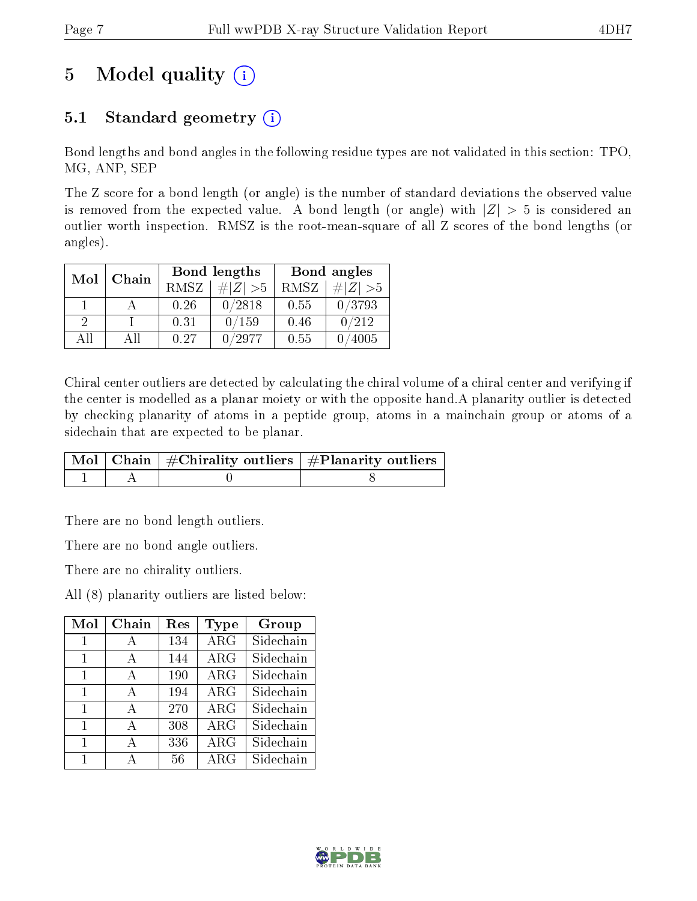# 5 Model quality  $(i)$

## 5.1 Standard geometry  $(i)$

Bond lengths and bond angles in the following residue types are not validated in this section: TPO, MG, ANP, SEP

The Z score for a bond length (or angle) is the number of standard deviations the observed value is removed from the expected value. A bond length (or angle) with  $|Z| > 5$  is considered an outlier worth inspection. RMSZ is the root-mean-square of all Z scores of the bond lengths (or angles).

| Mol           | Chain |             | Bond lengths |      | Bond angles |
|---------------|-------|-------------|--------------|------|-------------|
|               |       | <b>RMSZ</b> | $\# Z  > 5$  | RMSZ | $\ Z\  > 5$ |
|               |       | 0.26        | 0/2818       | 0.55 | 0/3793      |
| $\mathcal{D}$ |       | 0.31        | 0/159        | 0.46 | 0/212       |
| AΠ            | АH    | 0.27        | /2977        | 0.55 | 4005        |

Chiral center outliers are detected by calculating the chiral volume of a chiral center and verifying if the center is modelled as a planar moiety or with the opposite hand.A planarity outlier is detected by checking planarity of atoms in a peptide group, atoms in a mainchain group or atoms of a sidechain that are expected to be planar.

|  | $\mid$ Mol $\mid$ Chain $\mid$ #Chirality outliers $\mid$ #Planarity outliers $\mid$ |
|--|--------------------------------------------------------------------------------------|
|  |                                                                                      |

There are no bond length outliers.

There are no bond angle outliers.

There are no chirality outliers.

All (8) planarity outliers are listed below:

| Mol          | Chain        | $\operatorname{Res}% \left( \mathcal{N}\right) \equiv\operatorname{Res}(\mathcal{N}_{0})\cap\mathcal{N}_{1}$ | Type                    | Group     |
|--------------|--------------|--------------------------------------------------------------------------------------------------------------|-------------------------|-----------|
| $\mathbf{1}$ | $\mathbf{A}$ | 134                                                                                                          | $\overline{\rm ARG}$    | Sidechain |
| 1            | $\mathbf{A}$ | 144                                                                                                          | $\rm{ARG}$              | Sidechain |
| 1            | A            | 190                                                                                                          | $\rm{ARG}$              | Sidechain |
| 1            | A            | 194                                                                                                          | $\overline{\text{ARG}}$ | Sidechain |
| 1            | A            | 270                                                                                                          | $\rm{ARG}$              | Sidechain |
| 1            | А            | 308                                                                                                          | $\rm{ARG}$              | Sidechain |
| 1            | A            | 336                                                                                                          | $\rm{ARG}$              | Sidechain |
| $\mathbf{1}$ |              | 56                                                                                                           | $\rm{ARG}$              | Sidechain |

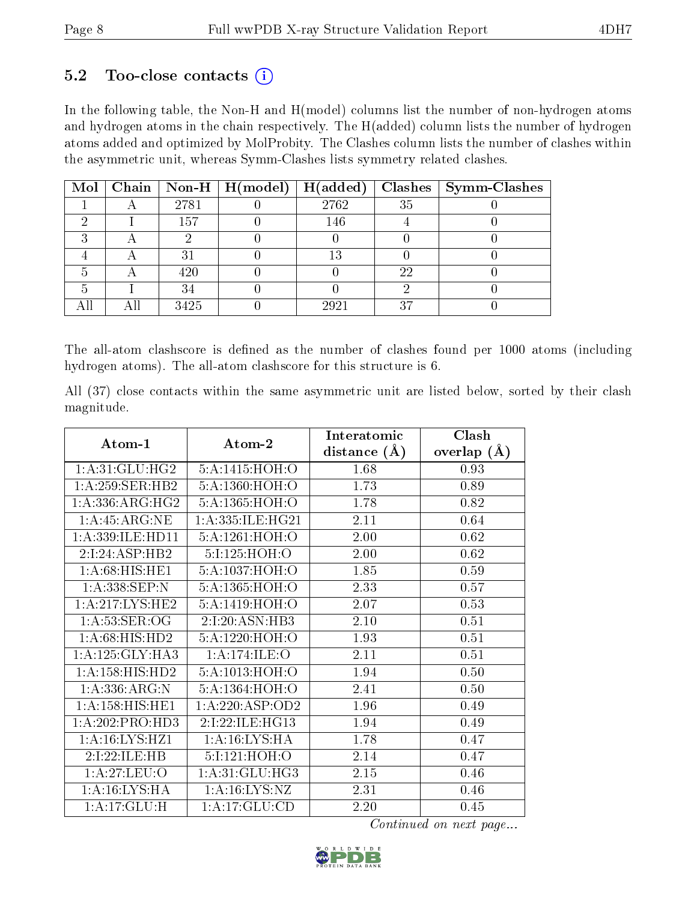### $5.2$  Too-close contacts  $(i)$

In the following table, the Non-H and H(model) columns list the number of non-hydrogen atoms and hydrogen atoms in the chain respectively. The H(added) column lists the number of hydrogen atoms added and optimized by MolProbity. The Clashes column lists the number of clashes within the asymmetric unit, whereas Symm-Clashes lists symmetry related clashes.

|  |      | Mol   Chain   Non-H   H(model)   H(added) |        |    | $\textbf{Class} \mid \textbf{Symm-Class}$ |
|--|------|-------------------------------------------|--------|----|-------------------------------------------|
|  | 2781 |                                           | 2762   | 35 |                                           |
|  | 157  |                                           | 146    |    |                                           |
|  |      |                                           |        |    |                                           |
|  | 2.   |                                           | $13\,$ |    |                                           |
|  | 420  |                                           |        | 22 |                                           |
|  | 34   |                                           |        |    |                                           |
|  | 3425 |                                           | 2921   | 37 |                                           |

The all-atom clashscore is defined as the number of clashes found per 1000 atoms (including hydrogen atoms). The all-atom clashscore for this structure is 6.

All (37) close contacts within the same asymmetric unit are listed below, sorted by their clash magnitude.

|                     |                   | Interatomic    | Clash         |
|---------------------|-------------------|----------------|---------------|
| Atom-1              | Atom-2            | distance $(A)$ | overlap $(A)$ |
| 1: A:31: GLU: HG2   | 5:A:1415:HOH:O    | 1.68           | 0.93          |
| 1: A:259: SER: HB2  | 5:A:1360:HOH:O    | 1.73           | 0.89          |
| 1: A: 336: ARG: HG2 | 5:A:1365:HOH:O    | 1.78           | 0.82          |
| 1:A:45:ARG:NE       | 1:A:335:ILE:HG21  | 2.11           | 0.64          |
| 1:A:339:ILE:HD11    | 5:A:1261:HOH:O    | 2.00           | 0.62          |
| 2:I:24:ASP:HB2      | 5:I:125:HOH:O     | 2.00           | 0.62          |
| 1: A:68: HIS: HE1   | 5:A:1037:HOH:O    | 1.85           | 0.59          |
| 1: A: 338: SEP: N   | 5:A:1365:HOH:O    | 2.33           | 0.57          |
| 1:A:217:LYS:HE2     | 5:A:1419:HOH:O    | 2.07           | 0.53          |
| 1: A:53: SER:OG     | 2:I:20:ASN:HB3    | 2.10           | 0.51          |
| 1: A:68: HIS: HD2   | 5:A:1220:HOH:O    | 1.93           | 0.51          |
| 1:A:125:GLY:HA3     | 1: A:174: ILE: O  | 2.11           | 0.51          |
| 1: A: 158: HIS: HD2 | 5:A:1013:HOH:O    | 1.94           | 0.50          |
| 1:A:336:ARG:N       | 5:A:1364:HOH:O    | 2.41           | 0.50          |
| 1:A:158:HIS:HEL     | 1:A:220:ASP:OD2   | 1.96           | 0.49          |
| 1: A:202:PRO:HD3    | 2:I:22:ILE:HG13   | 1.94           | 0.49          |
| 1: A:16: LYS:HZ1    | 1: A:16: LYS: HA  | 1.78           | 0.47          |
| 2:I:22:ILE:HB       | 5:I:121:HOH:O     | 2.14           | 0.47          |
| 1:A:27:LEU:O        | 1: A:31: GLU: HG3 | 2.15           | 0.46          |
| 1: A:16: LYS: HA    | 1: A: 16: LYS: NZ | 2.31           | 0.46          |
| 1:A:17:GLU:H        | 1: A:17: GLU:CD   | 2.20           | 0.45          |

Continued on next page...

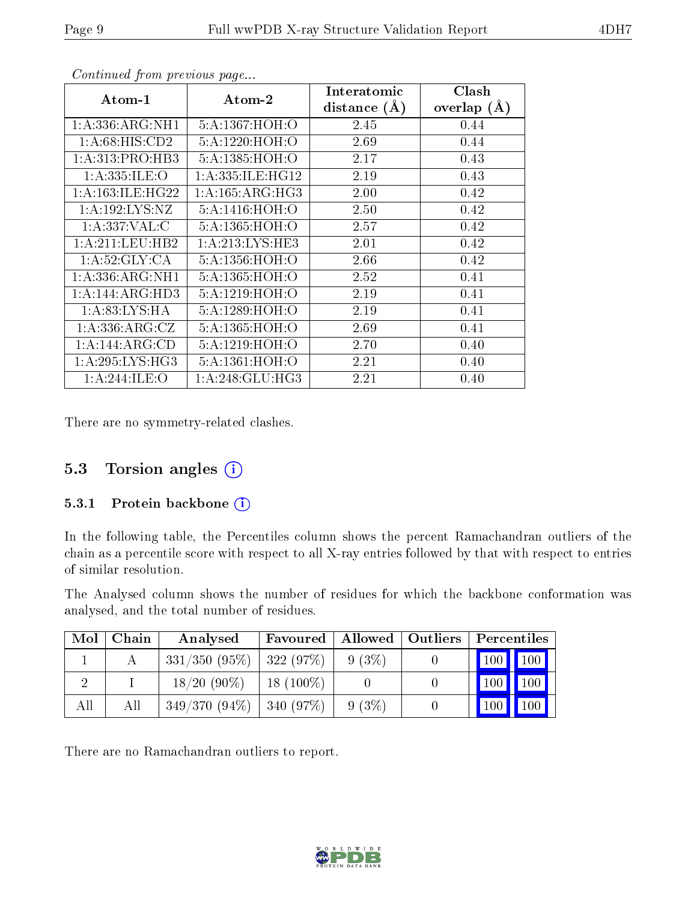| Atom-1               | Atom-2               | Interatomic    | Clash         |
|----------------------|----------------------|----------------|---------------|
|                      |                      | distance $(A)$ | overlap $(A)$ |
| 1: A: 336: ARG: NH1  | 5:A:1367:HOH:O       | 2.45           | 0.44          |
| 1:A:68:HIS:CD2       | 5:A:1220:HOH:O       | 2.69           | 0.44          |
| 1:A:313:PRO:HB3      | 5:A:1385:HOH:O       | 2.17           | 0.43          |
| 1: A: 335: ILE: O    | 1: A: 335: ILE: HG12 | 2.19           | 0.43          |
| 1: A: 163: ILE: HG22 | 1: A: 165: ARG: HG3  | 2.00           | 0.42          |
| 1: A: 192: LYS: NZ   | 5:A:1416:HOH:O       | 2.50           | 0.42          |
| 1:A:337:VAL:CC       | 5:A:1365:HOH:O       | 2.57           | 0.42          |
| 1: A:211:LEU:HB2     | 1: A:213:LYS:HE3     | 2.01           | 0.42          |
| 1:A:52:GLY:CA        | 5:A:1356:HOH:O       | 2.66           | 0.42          |
| 1: A: 336: ARG: NH1  | 5:A:1365:HOH:O       | 2.52           | 0.41          |
| 1: A:144: ARG:HD3    | 5:A:1219:HOH:O       | 2.19           | 0.41          |
| 1: A:83: LYS: HA     | 5:A:1289:HOH:O       | 2.19           | 0.41          |
| 1:A:336:ARG:CZ       | 5:A:1365:HOH:O       | 2.69           | 0.41          |
| 1:A:144:ARG:CD       | 5:A:1219:HOH:O       | 2.70           | 0.40          |
| 1: A:295: LYS: HG3   | 5:A:1361:HOH:O       | 2.21           | 0.40          |
| 1: A:244: ILE: O     | 1: A:248: GLU:HG3    | 2.21           | 0.40          |

Continued from previous page...

There are no symmetry-related clashes.

### 5.3 Torsion angles (i)

#### 5.3.1 Protein backbone (i)

In the following table, the Percentiles column shows the percent Ramachandran outliers of the chain as a percentile score with respect to all X-ray entries followed by that with respect to entries of similar resolution.

The Analysed column shows the number of residues for which the backbone conformation was analysed, and the total number of residues.

| Mol | Chain | Analysed                      | Favoured    |          | Allowed   Outliers | Percentiles     |               |
|-----|-------|-------------------------------|-------------|----------|--------------------|-----------------|---------------|
|     |       | $331/350$ (95\%)   322 (97\%) |             | $9(3\%)$ |                    |                 | $100$   $100$ |
|     |       | $18/20(90\%)$                 | $18(100\%)$ |          |                    | $100 \text{ h}$ | 100           |
| All | All   | $349/370(94\%)$               | 340(97%)    | $9(3\%)$ |                    | $100 \mid$      | 100           |

There are no Ramachandran outliers to report.

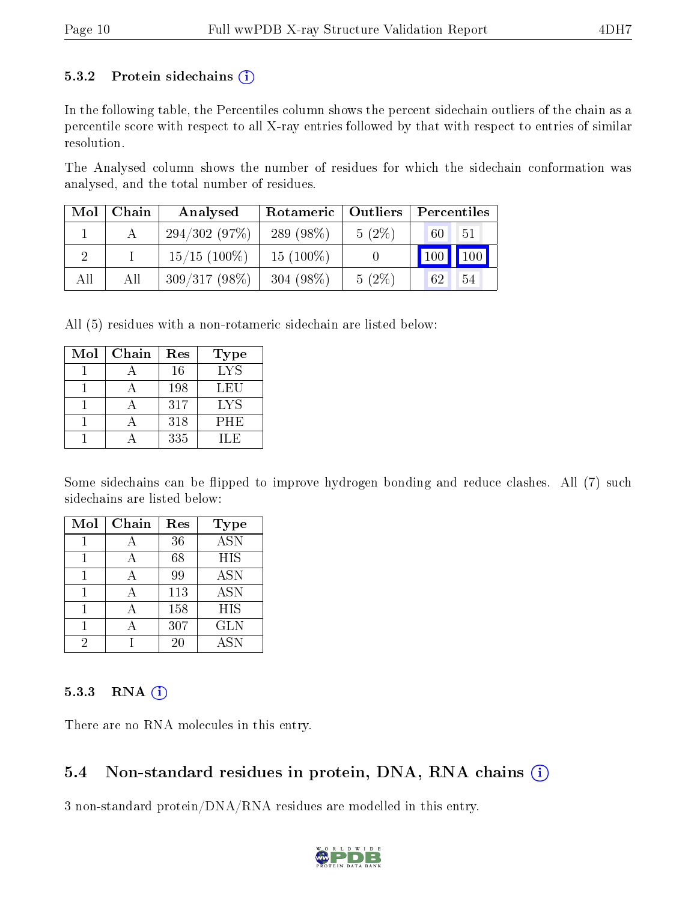#### 5.3.2 Protein sidechains  $(i)$

In the following table, the Percentiles column shows the percent sidechain outliers of the chain as a percentile score with respect to all X-ray entries followed by that with respect to entries of similar resolution.

The Analysed column shows the number of residues for which the sidechain conformation was analysed, and the total number of residues.

| Mol | Chain | Analysed        | Outliers<br>Rotameric |          | Percentiles                        |  |  |
|-----|-------|-----------------|-----------------------|----------|------------------------------------|--|--|
|     |       | 294/302(97%)    | 289 $(98\%)$          | $5(2\%)$ | 51<br>60                           |  |  |
|     |       | $15/15$ (100\%) | $15(100\%)$           |          | $\vert$ 100<br>$\vert$ 100 $\vert$ |  |  |
| All | All   | $309/317(98\%)$ | 304 $(98\%)$          | $5(2\%)$ | 54<br>62                           |  |  |

All (5) residues with a non-rotameric sidechain are listed below:

| Mol | Chain | Res | Type       |
|-----|-------|-----|------------|
|     |       | 16  | <b>LYS</b> |
|     |       | 198 | LEU        |
|     |       | 317 | LYS        |
|     |       | 318 | <b>PHE</b> |
|     |       | 335 | H E        |

Some sidechains can be flipped to improve hydrogen bonding and reduce clashes. All (7) such sidechains are listed below:

| Mol | Chain | Res | <b>Type</b>             |
|-----|-------|-----|-------------------------|
|     |       | 36  | $\overline{\text{ASN}}$ |
|     |       | 68  | <b>HIS</b>              |
|     |       | 99  | <b>ASN</b>              |
|     |       | 113 | <b>ASN</b>              |
|     |       | 158 | HIS                     |
|     |       | 307 | <b>GLN</b>              |
| 2   |       | 20  | <b>ASN</b>              |

#### $5.3.3$  RNA  $(i)$

There are no RNA molecules in this entry.

### 5.4 Non-standard residues in protein, DNA, RNA chains  $(i)$

3 non-standard protein/DNA/RNA residues are modelled in this entry.

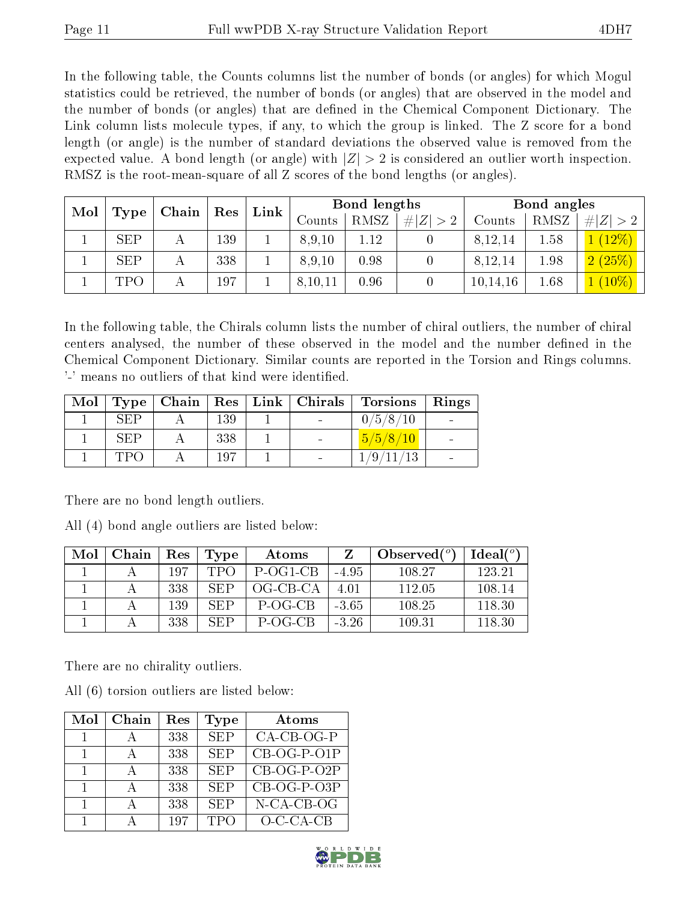In the following table, the Counts columns list the number of bonds (or angles) for which Mogul statistics could be retrieved, the number of bonds (or angles) that are observed in the model and the number of bonds (or angles) that are dened in the Chemical Component Dictionary. The Link column lists molecule types, if any, to which the group is linked. The Z score for a bond length (or angle) is the number of standard deviations the observed value is removed from the expected value. A bond length (or angle) with  $|Z| > 2$  is considered an outlier worth inspection. RMSZ is the root-mean-square of all Z scores of the bond lengths (or angles).

| Mol | Type       | Chain | Res | Link |         | <b>Bond lengths</b> |                |          | Bond angles |           |
|-----|------------|-------|-----|------|---------|---------------------|----------------|----------|-------------|-----------|
|     |            |       |     |      | Counts  | RMSZ                | $Z \vert$<br># | Counts   | RMSZ        | Z <br>#   |
|     | <b>SEP</b> | А     | 139 |      | 8,9,10  | 1.12                |                | 8,12,14  | 1.58        | $1(12\%)$ |
|     | <b>SEP</b> | А     | 338 |      | 8,9,10  | 0.98                |                | 8,12,14  | 1.98        | 2(25%)    |
|     | TPO        |       | 197 |      | 8,10,11 | 0.96                |                | 10,14,16 | 1.68        | $(10\%)$  |

In the following table, the Chirals column lists the number of chiral outliers, the number of chiral centers analysed, the number of these observed in the model and the number defined in the Chemical Component Dictionary. Similar counts are reported in the Torsion and Rings columns. '-' means no outliers of that kind were identified.

| $\bf{Mol}$ |            |     | Type   Chain   Res   Link   Chirals | <b>Torsions</b> | $\overline{\phantom{a}}$ Rings |
|------------|------------|-----|-------------------------------------|-----------------|--------------------------------|
|            | SEP        | 139 |                                     | 0/5/8/10        |                                |
|            | <b>SEP</b> | 338 |                                     | 5/5/8/10        |                                |
|            | ו שיד      | 197 |                                     | 1/9/11/13       |                                |

There are no bond length outliers.

All (4) bond angle outliers are listed below:

| Mol | Chain | Res | Type | Atoms    |         | Observed $(°)$ | Ideal $(°)$ |
|-----|-------|-----|------|----------|---------|----------------|-------------|
|     |       | 197 | TPO  | P-OG1-CB | $-4.95$ | 108.27         | 123.21      |
|     |       | 338 | SEP  | OG-CB-CA | 4.01    | 112.05         | 108.14      |
|     |       | 139 | SEP  | P-OG-CB  | $-3.65$ | 108.25         | 118.30      |
|     |       | 338 | SEP  | P-OG-CB  | $-3.26$ | 109.31         | 118.30      |

There are no chirality outliers.

All (6) torsion outliers are listed below:

| Mol | Chain | Res | <b>Type</b> | Atoms         |
|-----|-------|-----|-------------|---------------|
|     |       | 338 | <b>SEP</b>  | $CA-CB-OG-P$  |
|     |       | 338 | <b>SEP</b>  | $CB-OG-P-O1P$ |
|     |       | 338 | <b>SEP</b>  | $CB-OG-P-O2P$ |
|     |       | 338 | <b>SEP</b>  | $CB-OG-P-O3P$ |
|     |       | 338 | <b>SEP</b>  | N-CA-CB-OG    |
|     |       | 197 | <b>TPO</b>  | $O-C-CA-CB$   |

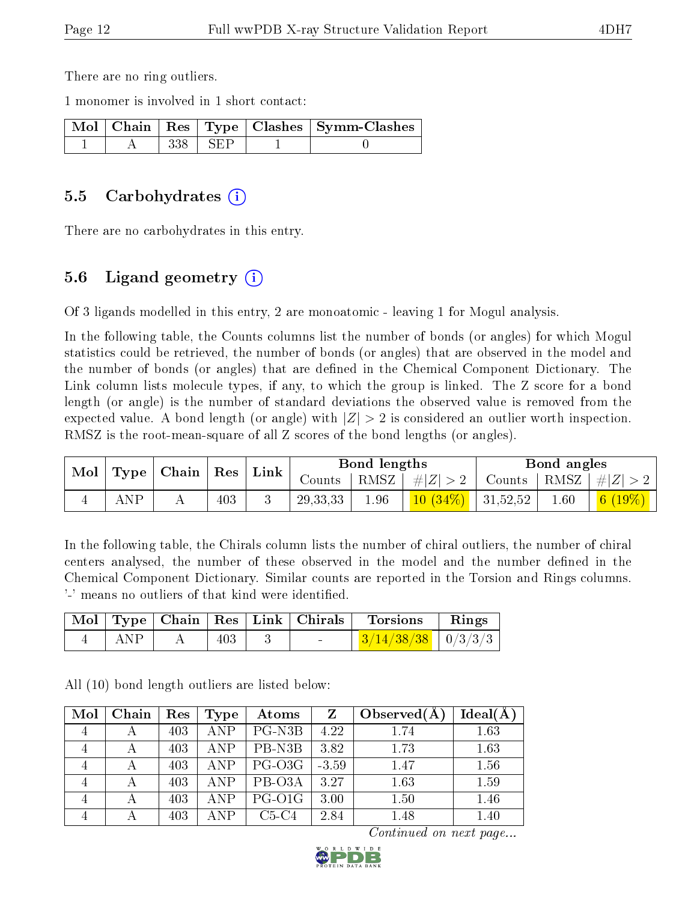There are no ring outliers.

1 monomer is involved in 1 short contact:

|  |       |       | Mol   Chain   Res   Type   Clashes   Symm-Clashes |
|--|-------|-------|---------------------------------------------------|
|  | 338 - | l SEP |                                                   |

#### 5.5 Carbohydrates (i)

There are no carbohydrates in this entry.

### 5.6 Ligand geometry  $(i)$

Of 3 ligands modelled in this entry, 2 are monoatomic - leaving 1 for Mogul analysis.

In the following table, the Counts columns list the number of bonds (or angles) for which Mogul statistics could be retrieved, the number of bonds (or angles) that are observed in the model and the number of bonds (or angles) that are defined in the Chemical Component Dictionary. The Link column lists molecule types, if any, to which the group is linked. The Z score for a bond length (or angle) is the number of standard deviations the observed value is removed from the expected value. A bond length (or angle) with  $|Z| > 2$  is considered an outlier worth inspection. RMSZ is the root-mean-square of all Z scores of the bond lengths (or angles).

| Mol | Type | $\vert$ Chain $\vert$ Res $\vert$ |     | $^{\shortmid}$ Link $_{\shortmid}$ | Bond lengths |      |            | Bond angles |      |              |
|-----|------|-----------------------------------|-----|------------------------------------|--------------|------|------------|-------------|------|--------------|
|     |      |                                   |     |                                    | Counts       | RMSZ | $\# Z $    | Counts,     | RMSZ | $+  Z  $     |
|     | ANP  |                                   | 403 |                                    | 29, 33, 33   | 1.96 | $10(34\%)$ | 31,52,52    | 1.60 | 6(<br>$19\%$ |

In the following table, the Chirals column lists the number of chiral outliers, the number of chiral centers analysed, the number of these observed in the model and the number defined in the Chemical Component Dictionary. Similar counts are reported in the Torsion and Rings columns. '-' means no outliers of that kind were identified.

|     |     | Mol   Type   Chain   Res   Link   Chirals | Torsions                                 | Rings |
|-----|-----|-------------------------------------------|------------------------------------------|-------|
| ANP | 403 | $\sim$                                    | $\frac{3}{14/38/38}$ $\frac{1}{0/3/3/3}$ |       |

All (10) bond length outliers are listed below:

| Mol | Chain | Res | Type       | Atoms    | Z       | Observed $(A$ | Ideal(A) |
|-----|-------|-----|------------|----------|---------|---------------|----------|
| 4   |       | 403 | <b>ANP</b> | PG-N3B   | 4.22    | 1.74          | 1.63     |
| 4   | А     | 403 | <b>ANP</b> | PB-N3B   | 3.82    | 1.73          | 1.63     |
| 4   |       | 403 | <b>ANP</b> | $PG-O3G$ | $-3.59$ | 1.47          | 1.56     |
|     |       | 403 | <b>ANP</b> | PB-O3A   | 3.27    | 1.63          | 1.59     |
|     |       | 403 | <b>ANP</b> | PG-O1G   | 3.00    | 1.50          | 1.46     |
|     |       | 403 | <b>ANP</b> | $C5-C4$  | 2.84    | 1.48          | 1.40     |

Continued on next page...

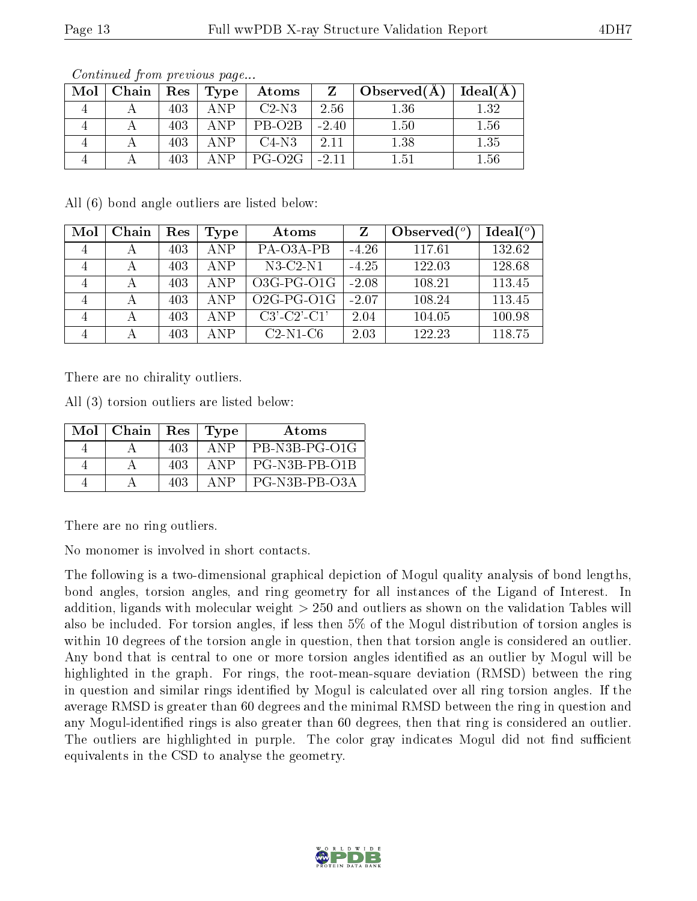| Mol | Chain |     | $_{\rm i}$ $\rm Res$ $\mid$ $\rm Type$ | Atoms                  | Z          | $_+$ Observed(A) $\,$ | Ideal(A) |
|-----|-------|-----|----------------------------------------|------------------------|------------|-----------------------|----------|
|     |       | 403 | ANP                                    | $C2-N3$                | 2.56       | 1.36                  | 1.32     |
|     |       | 403 | $\Delta NP$                            | $PB-O2B$               | $-2.40$    | 1.50                  | 1.56     |
|     |       | 403 | $\Delta NP$                            | $C4-N3$                | -2.11      | 1.38                  | 1.35     |
|     |       | 403 | ANP                                    | $\perp$ PG-O2G $\perp$ | $1 - 2.11$ | 1.51                  | 1.56     |

Continued from previous page...

All (6) bond angle outliers are listed below:

| Mol            | Chain | Res | Type       | Atoms         |         | Observed $(°)$ | Ideal $(^\circ)$ |
|----------------|-------|-----|------------|---------------|---------|----------------|------------------|
| 4              |       | 403 | ANP        | PA-O3A-PB     | $-4.26$ | 117.61         | 132.62           |
| 4              | А     | 403 | ANP        | $N3-C2-N1$    | $-4.25$ | 122.03         | 128.68           |
| $\overline{4}$ | А     | 403 | <b>ANP</b> | $O3G-PG-O1G$  | $-2.08$ | 108.21         | 113.45           |
| $\overline{4}$ |       | 403 | <b>ANP</b> | $O2G-PG-O1G$  | $-2.07$ | 108.24         | 113.45           |
| $\overline{4}$ |       | 403 | ANP        | $C3'-C2'-C1'$ | 2.04    | 104.05         | 100.98           |
| $\overline{4}$ |       | 403 | A NP       | $C2-N1-C6$    | 2.03    | 122.23         | 118.75           |

There are no chirality outliers.

All (3) torsion outliers are listed below:

| Mol | Chain | Res | Type        | Atoms         |
|-----|-------|-----|-------------|---------------|
|     |       | 403 | A NP        | PB-N3B-PG-O1G |
|     |       | 403 | A NP        | PG-N3B-PB-O1B |
|     |       | 403 | $\Delta$ NP | PG-N3B-PB-O3A |

There are no ring outliers.

No monomer is involved in short contacts.

The following is a two-dimensional graphical depiction of Mogul quality analysis of bond lengths, bond angles, torsion angles, and ring geometry for all instances of the Ligand of Interest. In addition, ligands with molecular weight > 250 and outliers as shown on the validation Tables will also be included. For torsion angles, if less then 5% of the Mogul distribution of torsion angles is within 10 degrees of the torsion angle in question, then that torsion angle is considered an outlier. Any bond that is central to one or more torsion angles identified as an outlier by Mogul will be highlighted in the graph. For rings, the root-mean-square deviation (RMSD) between the ring in question and similar rings identified by Mogul is calculated over all ring torsion angles. If the average RMSD is greater than 60 degrees and the minimal RMSD between the ring in question and any Mogul-identified rings is also greater than 60 degrees, then that ring is considered an outlier. The outliers are highlighted in purple. The color gray indicates Mogul did not find sufficient equivalents in the CSD to analyse the geometry.

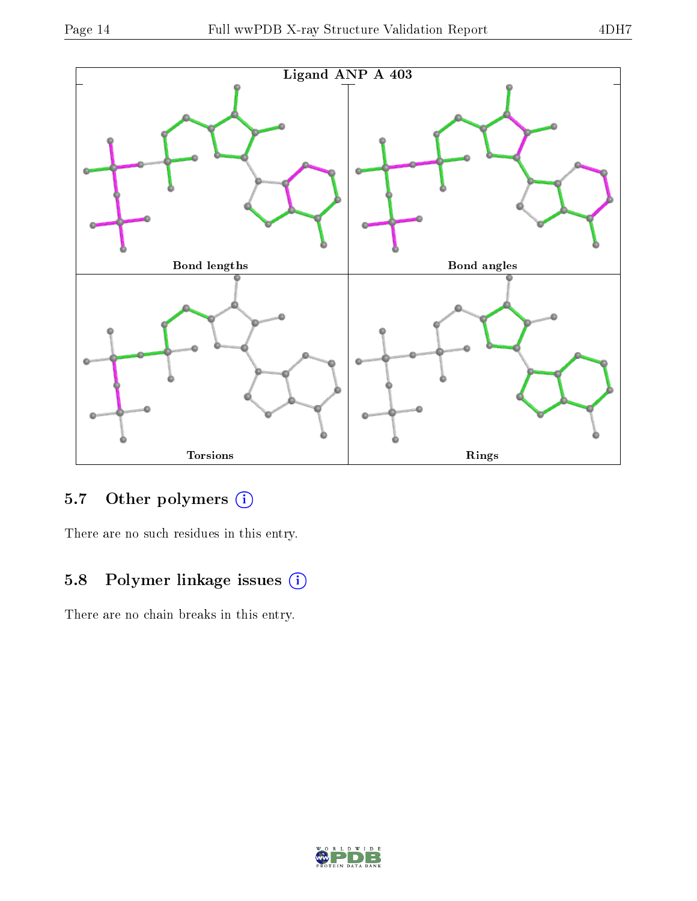

## 5.7 [O](https://www.wwpdb.org/validation/2017/XrayValidationReportHelp#nonstandard_residues_and_ligands)ther polymers (i)

There are no such residues in this entry.

## 5.8 Polymer linkage issues (i)

There are no chain breaks in this entry.

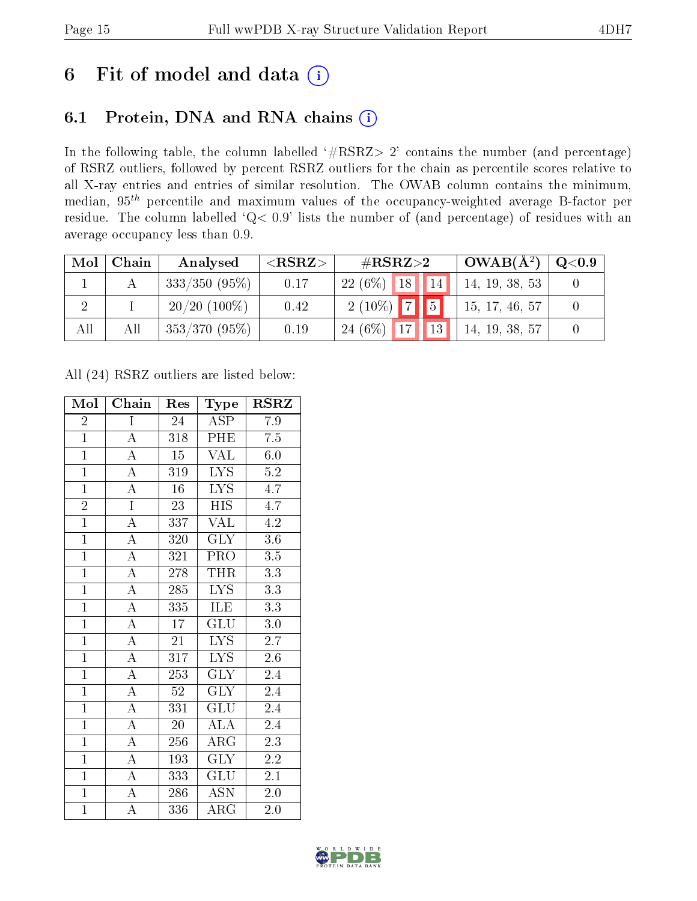## 6 Fit of model and data  $(i)$

### 6.1 Protein, DNA and RNA chains  $(i)$

In the following table, the column labelled  $#RSRZ> 2'$  contains the number (and percentage) of RSRZ outliers, followed by percent RSRZ outliers for the chain as percentile scores relative to all X-ray entries and entries of similar resolution. The OWAB column contains the minimum, median,  $95<sup>th</sup>$  percentile and maximum values of the occupancy-weighted average B-factor per residue. The column labelled ' $Q< 0.9$ ' lists the number of (and percentage) of residues with an average occupancy less than 0.9.

| Mol | Chain | Analysed        | ${ <\hspace{-1.5pt}{\mathrm{RSRZ}} \hspace{-1.5pt}>}$ | # $RSRZ>2$                      | $OWAB(A^2)$    | Q <sub>0.9</sub> |
|-----|-------|-----------------|-------------------------------------------------------|---------------------------------|----------------|------------------|
|     |       | $333/350(95\%)$ | 0.17                                                  | $22(6\%)$ 18<br>14 <sub>1</sub> | 14, 19, 38, 53 |                  |
|     |       | $20/20$ (100\%) | 0.42                                                  | $2(10\%)$ 7 5                   | 15, 17, 46, 57 |                  |
| All | All   | $353/370(95\%)$ | 0.19                                                  | 13 <br>24 $(6\%)$<br>17         | 14, 19, 38, 57 |                  |

All (24) RSRZ outliers are listed below:

| Mol            | Chain                   | Res              | Type                    | $\rm RSRZ$       |
|----------------|-------------------------|------------------|-------------------------|------------------|
| $\overline{2}$ | $\mathbf I$             | 24               | ASP                     | 7.9              |
| $\overline{1}$ | $\overline{\rm A}$      | 318              | PHE                     | 7.5              |
| $\overline{1}$ | $\overline{A}$          | $\overline{15}$  | VAL                     | $6.0\,$          |
| $\overline{1}$ | $\overline{\rm A}$      | 319              | $\overline{\text{LYS}}$ | $5.2\,$          |
| $\overline{1}$ | $\overline{\rm A}$      | $\overline{16}$  | $\overline{\text{LYS}}$ | $\overline{4.7}$ |
| $\overline{2}$ | $\overline{I}$          | 23               | <b>HIS</b>              | 4.7              |
| $\overline{1}$ | $\overline{\mathbf{A}}$ | 337              | <b>VAL</b>              | 4.2              |
| $\overline{1}$ | $\overline{A}$          | 320              | <b>GLY</b>              | 3.6              |
| $\overline{1}$ | $\overline{\rm A}$      | 321              | PRO                     | 3.5              |
| $\overline{1}$ | $\overline{A}$          | 278              | <b>THR</b>              | $\overline{3.3}$ |
| $\overline{1}$ | $\overline{\rm A}$      | 285              | $\overline{\text{LYS}}$ | $\overline{3.3}$ |
| $\overline{1}$ | $\overline{\rm A}$      | $\overline{335}$ | ILE                     | $\overline{3.3}$ |
| $\overline{1}$ | $\overline{\rm A}$      | 17               | $\overline{\text{GLU}}$ | 3.0              |
| $\overline{1}$ | $\overline{\rm A}$      | $\overline{21}$  | $\overline{\text{LYS}}$ | $2.\overline{7}$ |
| $\overline{1}$ | $\overline{A}$          | 317              | <b>LYS</b>              | $\overline{2.6}$ |
| $\overline{1}$ | $\overline{\rm A}$      | 253              | $\overline{\text{GLY}}$ | 2.4              |
| $\overline{1}$ | $\overline{A}$          | $\overline{52}$  | $\overline{\text{GLY}}$ | $\overline{2.4}$ |
| $\mathbf{1}$   | $\overline{\rm A}$      | 331              | <b>GLU</b>              | 2.4              |
| $\overline{1}$ | $\overline{A}$          | 20               | <b>ALA</b>              | 2.4              |
| $\overline{1}$ | $\overline{A}$          | 256              | $\overline{\rm{ARG}}$   | 2.3              |
| $\overline{1}$ | $\overline{A}$          | 193              | <b>GLY</b>              | 2.2              |
| $\overline{1}$ | $\overline{\rm A}$      | 333              | GLU                     | 2.1              |
| $\overline{1}$ | $\overline{\rm A}$      | 286              | <b>ASN</b>              | 2.0              |
| $\overline{1}$ | $\overline{\rm A}$      | 336              | $\rm{ARG}$              | 2.0              |

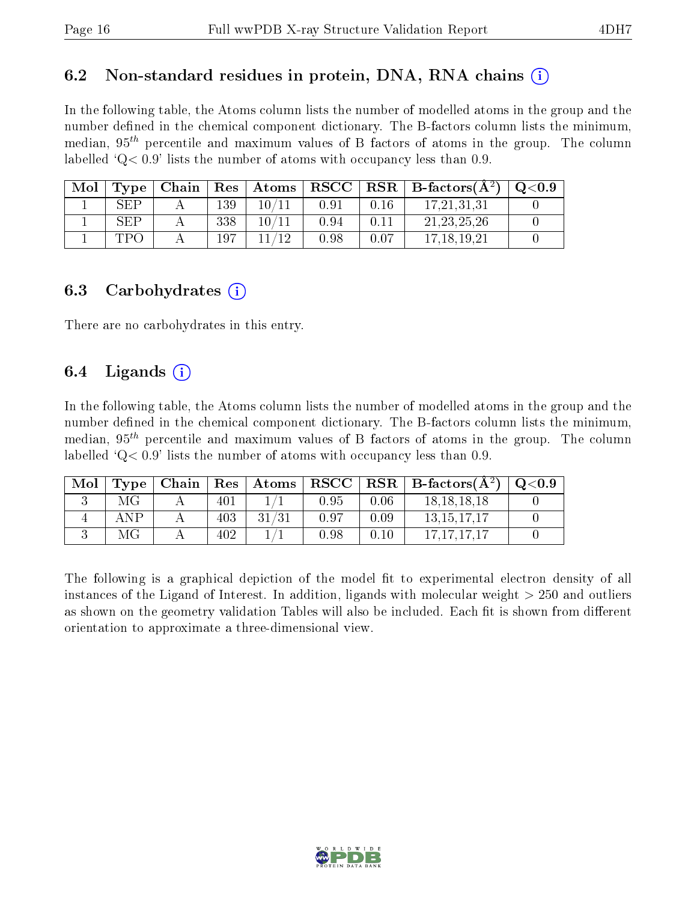### 6.2 Non-standard residues in protein, DNA, RNA chains  $(i)$

In the following table, the Atoms column lists the number of modelled atoms in the group and the number defined in the chemical component dictionary. The B-factors column lists the minimum, median,  $95<sup>th</sup>$  percentile and maximum values of B factors of atoms in the group. The column labelled  $Q< 0.9$ ' lists the number of atoms with occupancy less than 0.9.

| Mol | Type                 | Chain | Res | $\mid$ Atoms | ${\bf RSCC}$ |          | $\mathbf{RSR}$   B-factors( $\mathbf{A}^2$ ) | $\mathrm{O}{<}0.9$ |
|-----|----------------------|-------|-----|--------------|--------------|----------|----------------------------------------------|--------------------|
|     | SEE                  |       | 139 | 10/          | $0.9\degree$ | $0.16\,$ | 17,21,31,31                                  |                    |
|     | $\operatorname{SEP}$ |       | 338 | 10/          | ${0.94}$     |          | 21, 23, 25, 26                               |                    |
|     | TP (                 |       | 197 |              | ).98         | 0.07     | 17.18.19.21                                  |                    |

#### 6.3 Carbohydrates (i)

There are no carbohydrates in this entry.

### 6.4 Ligands  $(i)$

In the following table, the Atoms column lists the number of modelled atoms in the group and the number defined in the chemical component dictionary. The B-factors column lists the minimum, median,  $95<sup>th</sup>$  percentile and maximum values of B factors of atoms in the group. The column labelled  $Q< 0.9$ ' lists the number of atoms with occupancy less than 0.9.

| Mol | Type | Chain |     | $\mid$ $\mathrm{Res}\mid$ $\mathrm{Atoms}$ |      |      | $ $ RSCC $ $ RSR $ $ B-factors( $A2$ ) | $^{\circ}$ Q<0.9 |
|-----|------|-------|-----|--------------------------------------------|------|------|----------------------------------------|------------------|
|     | МG   |       | 401 |                                            | 0.95 | 0.06 | 18.18.18.18                            |                  |
|     | ANP  |       | 403 | 31/31                                      | 0.97 | 0.09 | 13.15.17.17                            |                  |
|     | МG   |       | 402 |                                            | 0.98 | 0.10 | 17.17.17.17                            |                  |

The following is a graphical depiction of the model fit to experimental electron density of all instances of the Ligand of Interest. In addition, ligands with molecular weight  $> 250$  and outliers as shown on the geometry validation Tables will also be included. Each fit is shown from different orientation to approximate a three-dimensional view.